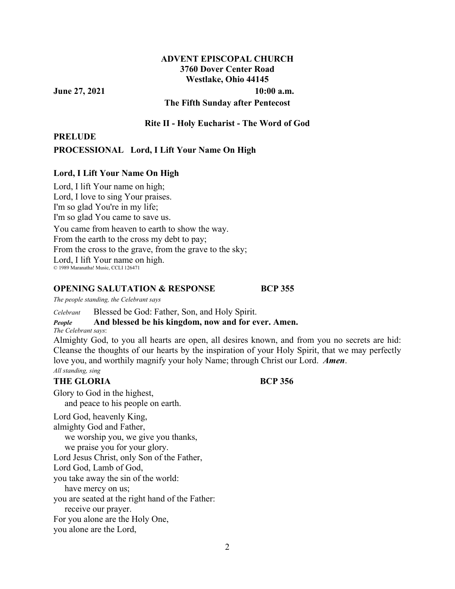# **ADVENT EPISCOPAL CHURCH 3760 Dover Center Road Westlake, Ohio 44145**

**June 27, 2021** 10:00 a.m.

#### **The Fifth Sunday after Pentecost**

#### **Rite II - Holy Eucharist - The Word of God**

#### **PRELUDE**

# **PROCESSIONAL Lord, I Lift Your Name On High**

#### **Lord, I Lift Your Name On High**

Lord, I lift Your name on high; Lord, I love to sing Your praises. I'm so glad You're in my life; I'm so glad You came to save us. You came from heaven to earth to show the way. From the earth to the cross my debt to pay; From the cross to the grave, from the grave to the sky; Lord, I lift Your name on high. © 1989 Maranatha! Music, CCLI 126471

#### **OPENING SALUTATION & RESPONSE BCP 355**

*The people standing, the Celebrant says* 

*Celebrant* Blessed be God: Father, Son, and Holy Spirit.

#### *People* **And blessed be his kingdom, now and for ever. Amen.**

*The Celebrant says*:

Almighty God, to you all hearts are open, all desires known, and from you no secrets are hid: Cleanse the thoughts of our hearts by the inspiration of your Holy Spirit, that we may perfectly love you, and worthily magnify your holy Name; through Christ our Lord. *Amen*.

#### *All standing, sing* **THE GLORIA BCP 356**

Glory to God in the highest, and peace to his people on earth.

Lord God, heavenly King, almighty God and Father, we worship you, we give you thanks, we praise you for your glory. Lord Jesus Christ, only Son of the Father, Lord God, Lamb of God, you take away the sin of the world: have mercy on us; you are seated at the right hand of the Father: receive our prayer. For you alone are the Holy One, you alone are the Lord,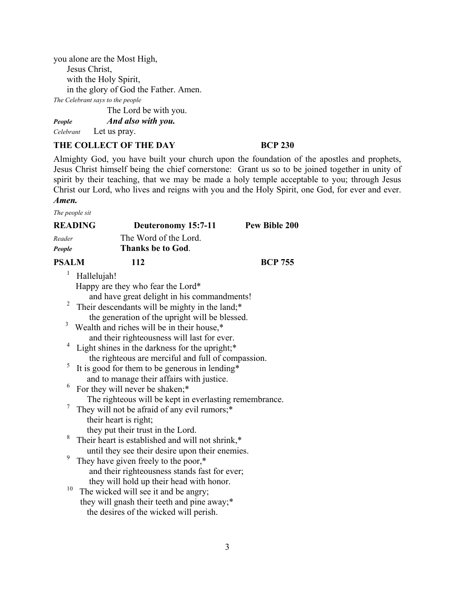# you alone are the Most High, Jesus Christ, with the Holy Spirit, in the glory of God the Father. Amen. *The Celebrant says to the people*  The Lord be with you. *People**And also with you.*

*Celebrant* Let us pray.

# **THE COLLECT OF THE DAY BCP 230**

Almighty God, you have built your church upon the foundation of the apostles and prophets, Jesus Christ himself being the chief cornerstone: Grant us so to be joined together in unity of spirit by their teaching, that we may be made a holy temple acceptable to you; through Jesus Christ our Lord, who lives and reigns with you and the Holy Spirit, one God, for ever and ever. *Amen.*

*The people sit* 

|                | <b>READING</b>                                 |                                      | Deuteronomy 15:7-11                                    | Pew Bible 200  |  |  |
|----------------|------------------------------------------------|--------------------------------------|--------------------------------------------------------|----------------|--|--|
| Reader         |                                                | The Word of the Lord.                |                                                        |                |  |  |
| People         |                                                | <b>Thanks be to God.</b>             |                                                        |                |  |  |
| <b>PSALM</b>   |                                                | 112                                  |                                                        | <b>BCP 755</b> |  |  |
| 1              | Hallelujah!                                    |                                      |                                                        |                |  |  |
|                |                                                | Happy are they who fear the Lord*    |                                                        |                |  |  |
|                | and have great delight in his commandments!    |                                      |                                                        |                |  |  |
| 2              |                                                |                                      | Their descendants will be mighty in the land;*         |                |  |  |
|                |                                                |                                      | the generation of the upright will be blessed.         |                |  |  |
| 3              |                                                |                                      | Wealth and riches will be in their house,*             |                |  |  |
|                |                                                |                                      | and their righteousness will last for ever.            |                |  |  |
| $\overline{4}$ |                                                |                                      | Light shines in the darkness for the upright;*         |                |  |  |
|                |                                                |                                      | the righteous are merciful and full of compassion.     |                |  |  |
| 5              | It is good for them to be generous in lending* |                                      |                                                        |                |  |  |
|                |                                                |                                      | and to manage their affairs with justice.              |                |  |  |
| 6              |                                                | For they will never be shaken;*      |                                                        |                |  |  |
|                |                                                |                                      | The righteous will be kept in everlasting remembrance. |                |  |  |
| 7              |                                                |                                      | They will not be afraid of any evil rumors;*           |                |  |  |
|                |                                                | their heart is right;                |                                                        |                |  |  |
| 8              |                                                | they put their trust in the Lord.    |                                                        |                |  |  |
|                |                                                |                                      | Their heart is established and will not shrink,*       |                |  |  |
| 9              |                                                |                                      | until they see their desire upon their enemies.        |                |  |  |
|                |                                                | They have given freely to the poor,* |                                                        |                |  |  |
|                |                                                |                                      | and their righteousness stands fast for ever;          |                |  |  |
| 10             |                                                |                                      | they will hold up their head with honor.               |                |  |  |
|                |                                                | The wicked will see it and be angry; |                                                        |                |  |  |
|                |                                                |                                      | they will gnash their teeth and pine away;*            |                |  |  |

# the desires of the wicked will perish.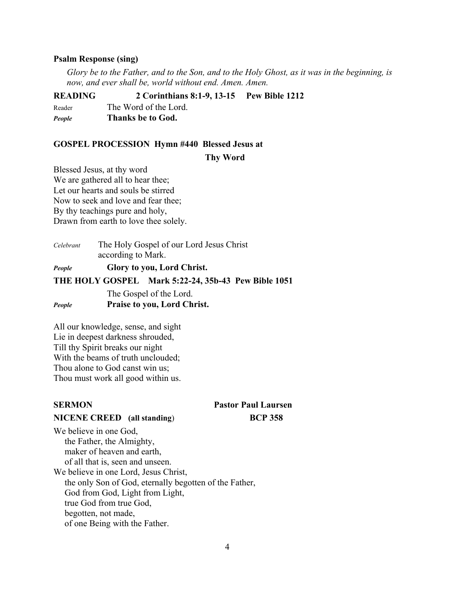#### **Psalm Response (sing)**

*Glory be to the Father, and to the Son, and to the Holy Ghost, as it was in the beginning, is now, and ever shall be, world without end. Amen. Amen.* 

**READING 2 Corinthians 8:1-9, 13-15 Pew Bible 1212** 

Reader The Word of the Lord. *People* **Thanks be to God.** 

#### **GOSPEL PROCESSION Hymn #440 Blessed Jesus at**

 **Thy Word** 

Blessed Jesus, at thy word We are gathered all to hear thee; Let our hearts and souls be stirred Now to seek and love and fear thee; By thy teachings pure and holy, Drawn from earth to love thee solely.

*Celebrant* The Holy Gospel of our Lord Jesus Christ according to Mark.

*People* **Glory to you, Lord Christ.**

**THE HOLY GOSPEL Mark 5:22-24, 35b-43 Pew Bible 1051** 

The Gospel of the Lord. *People* **Praise to you, Lord Christ.** 

All our knowledge, sense, and sight Lie in deepest darkness shrouded, Till thy Spirit breaks our night With the beams of truth unclouded; Thou alone to God canst win us; Thou must work all good within us.

# **NICENE CREED (all standing**) **BCP 358**

# **SERMON Pastor Paul Laursen**

We believe in one God, the Father, the Almighty, maker of heaven and earth, of all that is, seen and unseen. We believe in one Lord, Jesus Christ, the only Son of God, eternally begotten of the Father, God from God, Light from Light, true God from true God, begotten, not made, of one Being with the Father.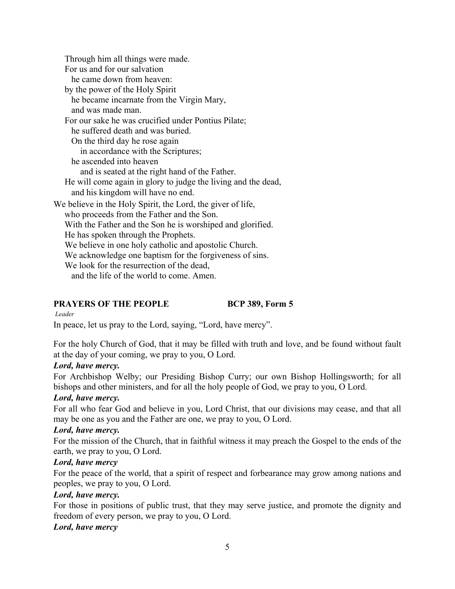Through him all things were made. For us and for our salvation he came down from heaven: by the power of the Holy Spirit he became incarnate from the Virgin Mary, and was made man. For our sake he was crucified under Pontius Pilate; he suffered death and was buried. On the third day he rose again in accordance with the Scriptures; he ascended into heaven and is seated at the right hand of the Father. He will come again in glory to judge the living and the dead, and his kingdom will have no end. We believe in the Holy Spirit, the Lord, the giver of life, who proceeds from the Father and the Son. With the Father and the Son he is worshiped and glorified. He has spoken through the Prophets. We believe in one holy catholic and apostolic Church. We acknowledge one baptism for the forgiveness of sins. We look for the resurrection of the dead. and the life of the world to come. Amen.

#### **PRAYERS OF THE PEOPLE BCP 389, Form 5**

 *Leader*

In peace, let us pray to the Lord, saying, "Lord, have mercy".

For the holy Church of God, that it may be filled with truth and love, and be found without fault at the day of your coming, we pray to you, O Lord.

#### *Lord, have mercy.*

For Archbishop Welby; our Presiding Bishop Curry; our own Bishop Hollingsworth; for all bishops and other ministers, and for all the holy people of God, we pray to you, O Lord.

# *Lord, have mercy.*

For all who fear God and believe in you, Lord Christ, that our divisions may cease, and that all may be one as you and the Father are one, we pray to you, O Lord.

#### *Lord, have mercy.*

For the mission of the Church, that in faithful witness it may preach the Gospel to the ends of the earth, we pray to you, O Lord.

#### *Lord, have mercy*

For the peace of the world, that a spirit of respect and forbearance may grow among nations and peoples, we pray to you, O Lord.

## *Lord, have mercy.*

For those in positions of public trust, that they may serve justice, and promote the dignity and freedom of every person, we pray to you, O Lord.

#### *Lord, have mercy*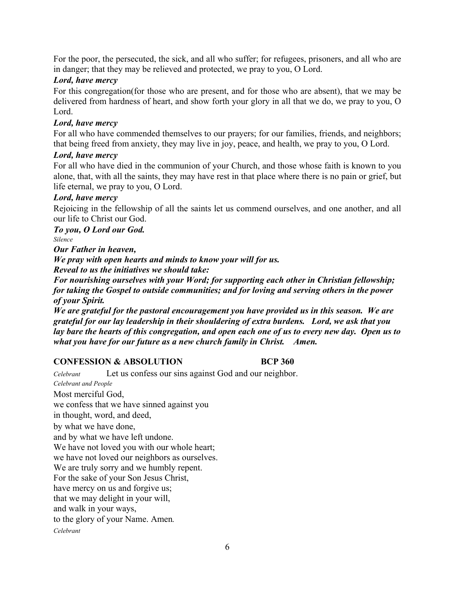For the poor, the persecuted, the sick, and all who suffer; for refugees, prisoners, and all who are in danger; that they may be relieved and protected, we pray to you, O Lord.

# *Lord, have mercy*

For this congregation(for those who are present, and for those who are absent), that we may be delivered from hardness of heart, and show forth your glory in all that we do, we pray to you, O Lord.

## *Lord, have mercy*

For all who have commended themselves to our prayers; for our families, friends, and neighbors; that being freed from anxiety, they may live in joy, peace, and health, we pray to you, O Lord.

#### *Lord, have mercy*

For all who have died in the communion of your Church, and those whose faith is known to you alone, that, with all the saints, they may have rest in that place where there is no pain or grief, but life eternal, we pray to you, O Lord.

## *Lord, have mercy*

Rejoicing in the fellowship of all the saints let us commend ourselves, and one another, and all our life to Christ our God.

# *To you, O Lord our God.*

*Silence* 

*Our Father in heaven,* 

*We pray with open hearts and minds to know your will for us.* 

*Reveal to us the initiatives we should take:* 

*For nourishing ourselves with your Word; for supporting each other in Christian fellowship; for taking the Gospel to outside communities; and for loving and serving others in the power of your Spirit.* 

*We are grateful for the pastoral encouragement you have provided us in this season. We are grateful for our lay leadership in their shouldering of extra burdens. Lord, we ask that you lay bare the hearts of this congregation, and open each one of us to every new day. Open us to what you have for our future as a new church family in Christ. Amen.* 

# **CONFESSION & ABSOLUTION BCP 360**

*Celebrant* Let us confess our sins against God and our neighbor. *Celebrant and People* Most merciful God, we confess that we have sinned against you in thought, word, and deed, by what we have done, and by what we have left undone. We have not loved you with our whole heart; we have not loved our neighbors as ourselves. We are truly sorry and we humbly repent. For the sake of your Son Jesus Christ, have mercy on us and forgive us; that we may delight in your will, and walk in your ways, to the glory of your Name. Amen*. Celebrant*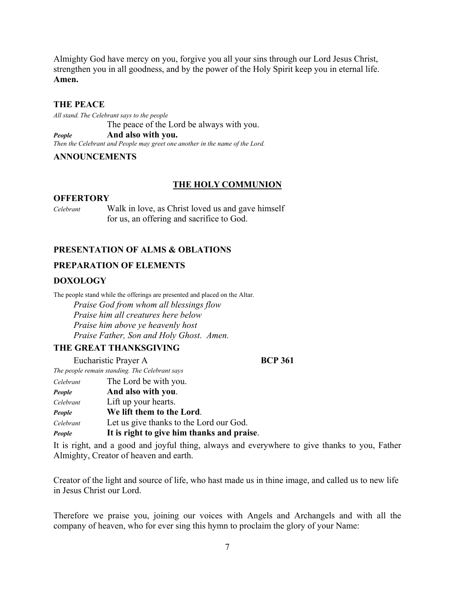Almighty God have mercy on you, forgive you all your sins through our Lord Jesus Christ, strengthen you in all goodness, and by the power of the Holy Spirit keep you in eternal life. **Amen.** 

# **THE PEACE**

*All stand. The Celebrant says to the people* The peace of the Lord be always with you. *People* **And also with you.**

*Then the Celebrant and People may greet one another in the name of the Lord.* 

#### **ANNOUNCEMENTS**

# **THE HOLY COMMUNION**

#### **OFFERTORY**

*Celebrant*Walk in love, as Christ loved us and gave himself for us, an offering and sacrifice to God.

# **PRESENTATION OF ALMS & OBLATIONS**

# **PREPARATION OF ELEMENTS**

# **DOXOLOGY**

The people stand while the offerings are presented and placed on the Altar.

 *Praise God from whom all blessings flow Praise him all creatures here below Praise him above ye heavenly host Praise Father, Son and Holy Ghost. Amen.* 

## **THE GREAT THANKSGIVING**

Eucharistic Prayer A **BCP 361** 

*The people remain standing. The Celebrant says* 

| Celebrant | The Lord be with you. |
|-----------|-----------------------|
|           |                       |

| People    | And also with you.                         |
|-----------|--------------------------------------------|
| Celebrant | Lift up your hearts.                       |
| People    | We lift them to the Lord.                  |
| Celebrant | Let us give thanks to the Lord our God.    |
| People    | It is right to give him thanks and praise. |

It is right, and a good and joyful thing, always and everywhere to give thanks to you, Father Almighty, Creator of heaven and earth.

Creator of the light and source of life, who hast made us in thine image, and called us to new life in Jesus Christ our Lord.

Therefore we praise you, joining our voices with Angels and Archangels and with all the company of heaven, who for ever sing this hymn to proclaim the glory of your Name: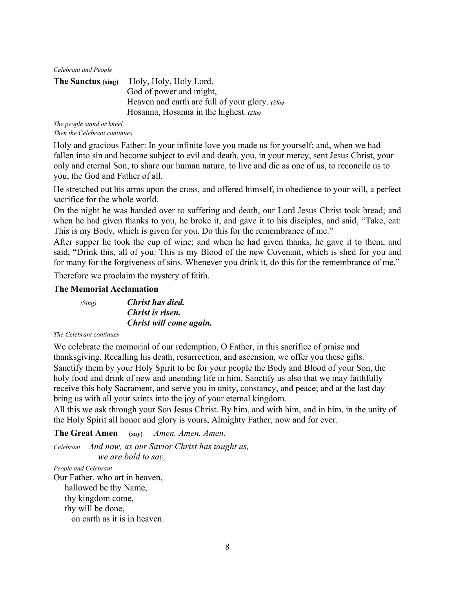*Celebrant and People* 

| <b>The Sanctus (sing)</b> Holy, Holy, Holy Lord, |
|--------------------------------------------------|
| God of power and might,                          |
| Heaven and earth are full of your glory. $(2Xs)$ |
| Hosanna, Hosanna in the highest. $(2Xs)$         |

*The people stand or kneel. Then the Celebrant continues* 

Holy and gracious Father: In your infinite love you made us for yourself; and, when we had fallen into sin and become subject to evil and death, you, in your mercy, sent Jesus Christ, your only and eternal Son, to share our human nature, to live and die as one of us, to reconcile us to you, the God and Father of all.

He stretched out his arms upon the cross, and offered himself, in obedience to your will, a perfect sacrifice for the whole world.

On the night he was handed over to suffering and death, our Lord Jesus Christ took bread; and when he had given thanks to you, he broke it, and gave it to his disciples, and said, "Take, eat: This is my Body, which is given for you. Do this for the remembrance of me."

After supper he took the cup of wine; and when he had given thanks, he gave it to them, and said, "Drink this, all of you: This is my Blood of the new Covenant, which is shed for you and for many for the forgiveness of sins. Whenever you drink it, do this for the remembrance of me."

Therefore we proclaim the mystery of faith.

#### **The Memorial Acclamation**

 *(Sing)**Christ has died. Christ is risen. Christ will come again.*

#### *The Celebrant continues*

We celebrate the memorial of our redemption, O Father, in this sacrifice of praise and thanksgiving. Recalling his death, resurrection, and ascension, we offer you these gifts. Sanctify them by your Holy Spirit to be for your people the Body and Blood of your Son, the holy food and drink of new and unending life in him. Sanctify us also that we may faithfully receive this holy Sacrament, and serve you in unity, constancy, and peace; and at the last day bring us with all your saints into the joy of your eternal kingdom.

All this we ask through your Son Jesus Christ. By him, and with him, and in him, in the unity of the Holy Spirit all honor and glory is yours, Almighty Father, now and for ever.

**The Great Amen (say)** *Amen. Amen. Amen.* 

*Celebrant And now, as our Savior Christ has taught us, we are bold to say,* 

*People and Celebrant*  Our Father, who art in heaven, hallowed be thy Name, thy kingdom come, thy will be done, on earth as it is in heaven.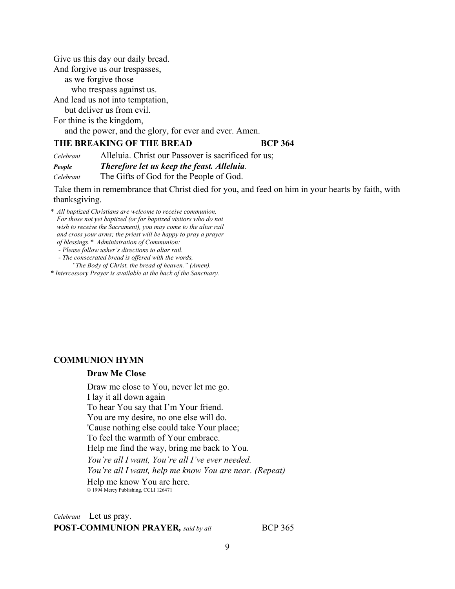Give us this day our daily bread. And forgive us our trespasses, as we forgive those who trespass against us. And lead us not into temptation, but deliver us from evil. For thine is the kingdom, and the power, and the glory, for ever and ever. Amen.

**THE BREAKING OF THE BREAD BCP 364** 

*Celebrant* Alleluia. Christ our Passover is sacrificed for us;

*People Therefore let us keep the feast. Alleluia.*

*Celebrant* The Gifts of God for the People of God.

Take them in remembrance that Christ died for you, and feed on him in your hearts by faith, with thanksgiving.

*\* All baptized Christians are welcome to receive communion. For those not yet baptized (or for baptized visitors who do not wish to receive the Sacrament), you may come to the altar rail and cross your arms; the priest will be happy to pray a prayer of blessings.\* Administration of Communion:* 

 *- Please follow usher's directions to altar rail.* 

 *- The consecrated bread is offered with the words,* 

 *"The Body of Christ, the bread of heaven." (Amen).* 

*\* Intercessory Prayer is available at the back of the Sanctuary.* 

#### **COMMUNION HYMN**

#### **Draw Me Close**

Draw me close to You, never let me go. I lay it all down again To hear You say that I'm Your friend. You are my desire, no one else will do. 'Cause nothing else could take Your place; To feel the warmth of Your embrace. Help me find the way, bring me back to You. *You're all I want, You're all I've ever needed. You're all I want, help me know You are near. (Repeat)* Help me know You are here. © 1994 Mercy Publishing, CCLI 126471

*Celebrant* Let us pray. **POST-COMMUNION PRAYER***, said by all* BCP 365